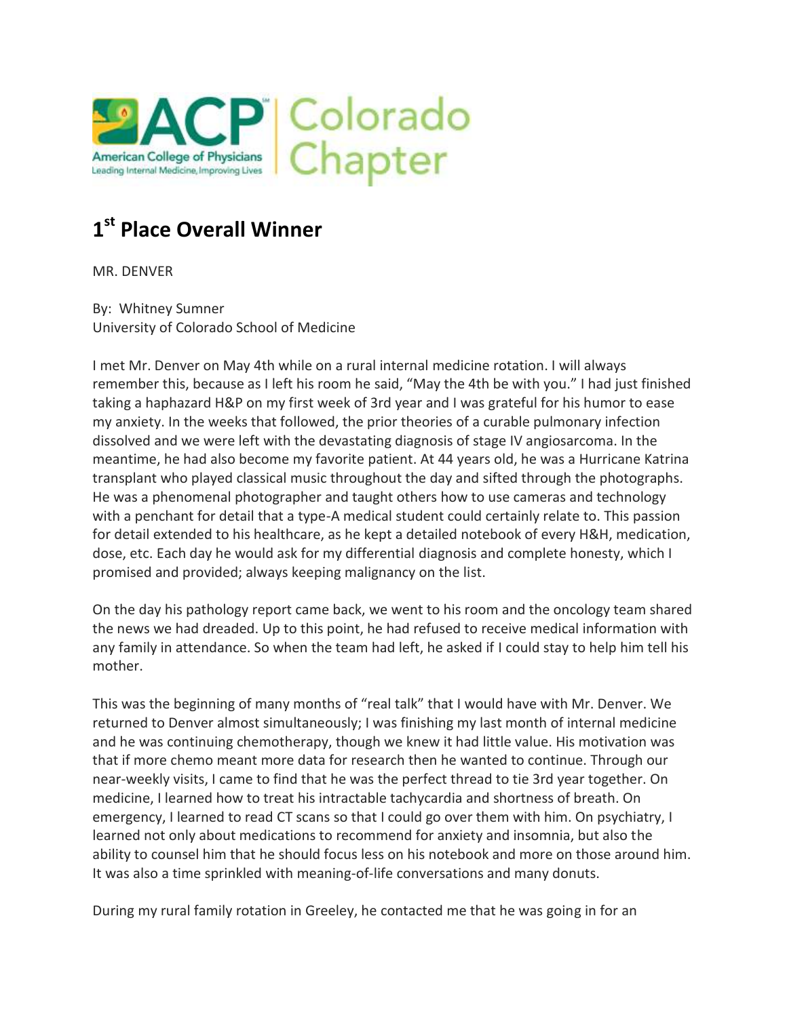

# **1 st Place Overall Winner**

MR. DENVER

By: Whitney Sumner University of Colorado School of Medicine

I met Mr. Denver on May 4th while on a rural internal medicine rotation. I will always remember this, because as I left his room he said, "May the 4th be with you." I had just finished taking a haphazard H&P on my first week of 3rd year and I was grateful for his humor to ease my anxiety. In the weeks that followed, the prior theories of a curable pulmonary infection dissolved and we were left with the devastating diagnosis of stage IV angiosarcoma. In the meantime, he had also become my favorite patient. At 44 years old, he was a Hurricane Katrina transplant who played classical music throughout the day and sifted through the photographs. He was a phenomenal photographer and taught others how to use cameras and technology with a penchant for detail that a type-A medical student could certainly relate to. This passion for detail extended to his healthcare, as he kept a detailed notebook of every H&H, medication, dose, etc. Each day he would ask for my differential diagnosis and complete honesty, which I promised and provided; always keeping malignancy on the list.

On the day his pathology report came back, we went to his room and the oncology team shared the news we had dreaded. Up to this point, he had refused to receive medical information with any family in attendance. So when the team had left, he asked if I could stay to help him tell his mother.

This was the beginning of many months of "real talk" that I would have with Mr. Denver. We returned to Denver almost simultaneously; I was finishing my last month of internal medicine and he was continuing chemotherapy, though we knew it had little value. His motivation was that if more chemo meant more data for research then he wanted to continue. Through our near-weekly visits, I came to find that he was the perfect thread to tie 3rd year together. On medicine, I learned how to treat his intractable tachycardia and shortness of breath. On emergency, I learned to read CT scans so that I could go over them with him. On psychiatry, I learned not only about medications to recommend for anxiety and insomnia, but also the ability to counsel him that he should focus less on his notebook and more on those around him. It was also a time sprinkled with meaning-of-life conversations and many donuts.

During my rural family rotation in Greeley, he contacted me that he was going in for an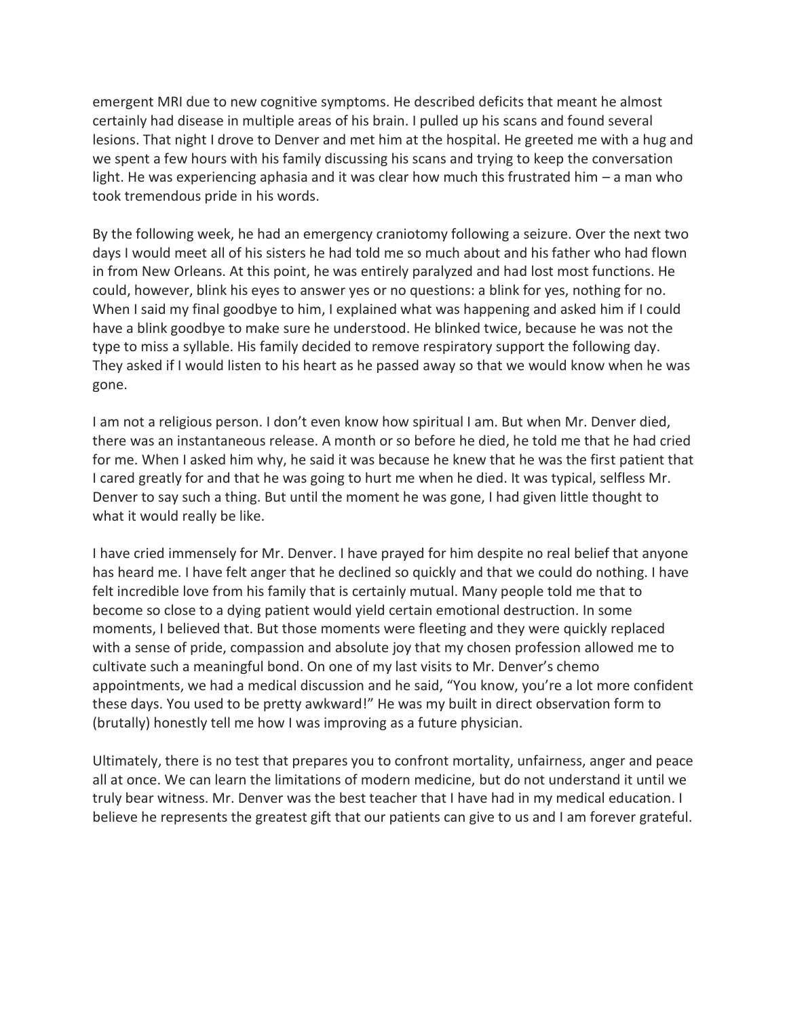emergent MRI due to new cognitive symptoms. He described deficits that meant he almost certainly had disease in multiple areas of his brain. I pulled up his scans and found several lesions. That night I drove to Denver and met him at the hospital. He greeted me with a hug and we spent a few hours with his family discussing his scans and trying to keep the conversation light. He was experiencing aphasia and it was clear how much this frustrated him – a man who took tremendous pride in his words.

By the following week, he had an emergency craniotomy following a seizure. Over the next two days I would meet all of his sisters he had told me so much about and his father who had flown in from New Orleans. At this point, he was entirely paralyzed and had lost most functions. He could, however, blink his eyes to answer yes or no questions: a blink for yes, nothing for no. When I said my final goodbye to him, I explained what was happening and asked him if I could have a blink goodbye to make sure he understood. He blinked twice, because he was not the type to miss a syllable. His family decided to remove respiratory support the following day. They asked if I would listen to his heart as he passed away so that we would know when he was gone.

I am not a religious person. I don't even know how spiritual I am. But when Mr. Denver died, there was an instantaneous release. A month or so before he died, he told me that he had cried for me. When I asked him why, he said it was because he knew that he was the first patient that I cared greatly for and that he was going to hurt me when he died. It was typical, selfless Mr. Denver to say such a thing. But until the moment he was gone, I had given little thought to what it would really be like.

I have cried immensely for Mr. Denver. I have prayed for him despite no real belief that anyone has heard me. I have felt anger that he declined so quickly and that we could do nothing. I have felt incredible love from his family that is certainly mutual. Many people told me that to become so close to a dying patient would yield certain emotional destruction. In some moments, I believed that. But those moments were fleeting and they were quickly replaced with a sense of pride, compassion and absolute joy that my chosen profession allowed me to cultivate such a meaningful bond. On one of my last visits to Mr. Denver's chemo appointments, we had a medical discussion and he said, "You know, you're a lot more confident these days. You used to be pretty awkward!" He was my built in direct observation form to (brutally) honestly tell me how I was improving as a future physician.

Ultimately, there is no test that prepares you to confront mortality, unfairness, anger and peace all at once. We can learn the limitations of modern medicine, but do not understand it until we truly bear witness. Mr. Denver was the best teacher that I have had in my medical education. I believe he represents the greatest gift that our patients can give to us and I am forever grateful.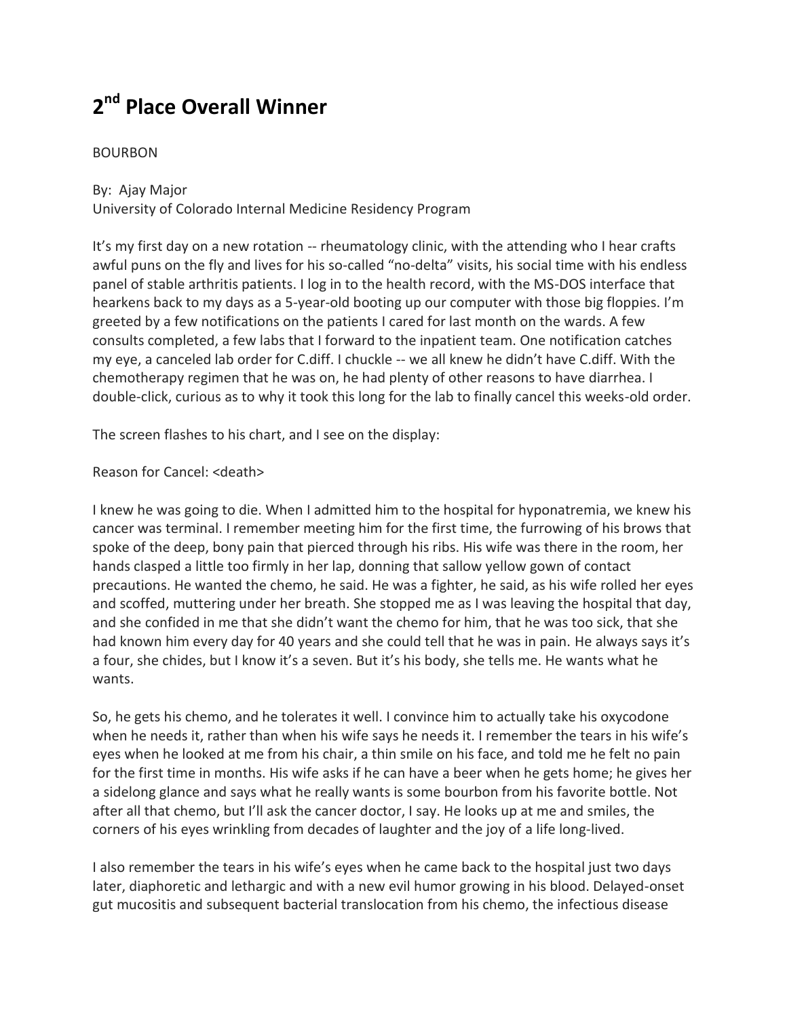# **2 nd Place Overall Winner**

## BOURBON

By: Ajay Major University of Colorado Internal Medicine Residency Program

It's my first day on a new rotation -- rheumatology clinic, with the attending who I hear crafts awful puns on the fly and lives for his so-called "no-delta" visits, his social time with his endless panel of stable arthritis patients. I log in to the health record, with the MS-DOS interface that hearkens back to my days as a 5-year-old booting up our computer with those big floppies. I'm greeted by a few notifications on the patients I cared for last month on the wards. A few consults completed, a few labs that I forward to the inpatient team. One notification catches my eye, a canceled lab order for C.diff. I chuckle -- we all knew he didn't have C.diff. With the chemotherapy regimen that he was on, he had plenty of other reasons to have diarrhea. I double-click, curious as to why it took this long for the lab to finally cancel this weeks-old order.

The screen flashes to his chart, and I see on the display:

### Reason for Cancel: <death>

I knew he was going to die. When I admitted him to the hospital for hyponatremia, we knew his cancer was terminal. I remember meeting him for the first time, the furrowing of his brows that spoke of the deep, bony pain that pierced through his ribs. His wife was there in the room, her hands clasped a little too firmly in her lap, donning that sallow yellow gown of contact precautions. He wanted the chemo, he said. He was a fighter, he said, as his wife rolled her eyes and scoffed, muttering under her breath. She stopped me as I was leaving the hospital that day, and she confided in me that she didn't want the chemo for him, that he was too sick, that she had known him every day for 40 years and she could tell that he was in pain. He always says it's a four, she chides, but I know it's a seven. But it's his body, she tells me. He wants what he wants.

So, he gets his chemo, and he tolerates it well. I convince him to actually take his oxycodone when he needs it, rather than when his wife says he needs it. I remember the tears in his wife's eyes when he looked at me from his chair, a thin smile on his face, and told me he felt no pain for the first time in months. His wife asks if he can have a beer when he gets home; he gives her a sidelong glance and says what he really wants is some bourbon from his favorite bottle. Not after all that chemo, but I'll ask the cancer doctor, I say. He looks up at me and smiles, the corners of his eyes wrinkling from decades of laughter and the joy of a life long-lived.

I also remember the tears in his wife's eyes when he came back to the hospital just two days later, diaphoretic and lethargic and with a new evil humor growing in his blood. Delayed-onset gut mucositis and subsequent bacterial translocation from his chemo, the infectious disease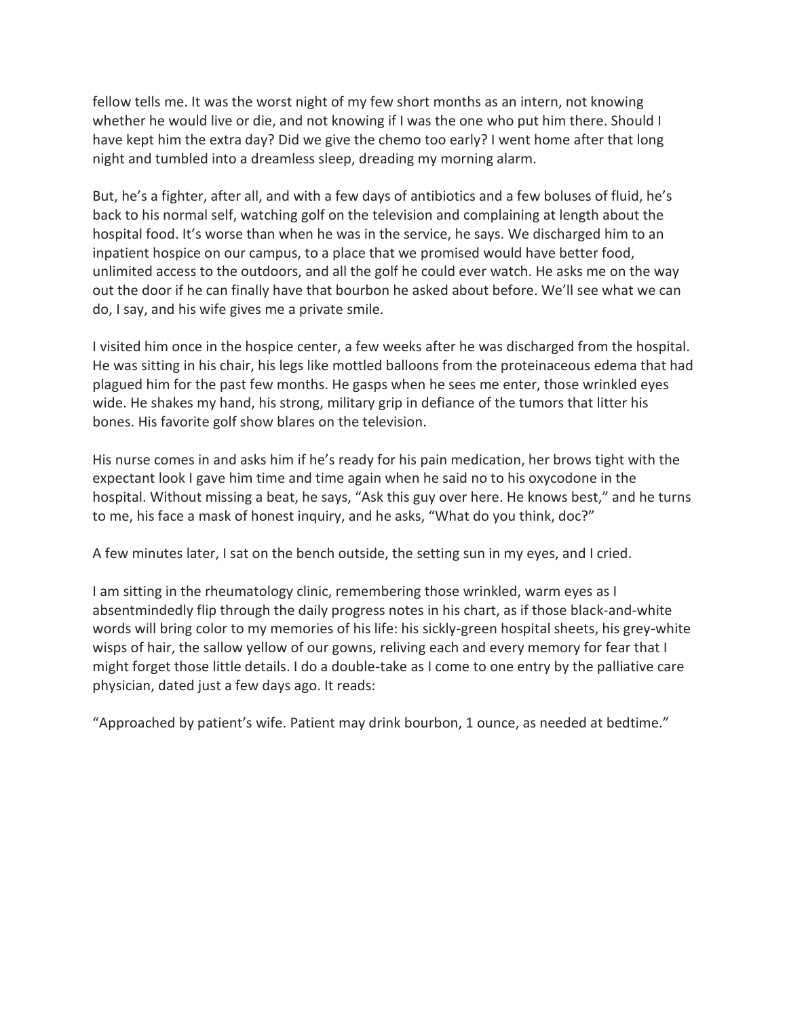fellow tells me. It was the worst night of my few short months as an intern, not knowing whether he would live or die, and not knowing if I was the one who put him there. Should I have kept him the extra day? Did we give the chemo too early? I went home after that long night and tumbled into a dreamless sleep, dreading my morning alarm.

But, he's a fighter, after all, and with a few days of antibiotics and a few boluses of fluid, he's back to his normal self, watching golf on the television and complaining at length about the hospital food. It's worse than when he was in the service, he says. We discharged him to an inpatient hospice on our campus, to a place that we promised would have better food, unlimited access to the outdoors, and all the golf he could ever watch. He asks me on the way out the door if he can finally have that bourbon he asked about before. We'll see what we can do, I say, and his wife gives me a private smile.

I visited him once in the hospice center, a few weeks after he was discharged from the hospital. He was sitting in his chair, his legs like mottled balloons from the proteinaceous edema that had plagued him for the past few months. He gasps when he sees me enter, those wrinkled eyes wide. He shakes my hand, his strong, military grip in defiance of the tumors that litter his bones. His favorite golf show blares on the television.

His nurse comes in and asks him if he's ready for his pain medication, her brows tight with the expectant look I gave him time and time again when he said no to his oxycodone in the hospital. Without missing a beat, he says, "Ask this guy over here. He knows best," and he turns to me, his face a mask of honest inquiry, and he asks, "What do you think, doc?"

A few minutes later, I sat on the bench outside, the setting sun in my eyes, and I cried.

I am sitting in the rheumatology clinic, remembering those wrinkled, warm eyes as I absentmindedly flip through the daily progress notes in his chart, as if those black-and-white words will bring color to my memories of his life: his sickly-green hospital sheets, his grey-white wisps of hair, the sallow yellow of our gowns, reliving each and every memory for fear that I might forget those little details. I do a double-take as I come to one entry by the palliative care physician, dated just a few days ago. It reads:

"Approached by patient's wife. Patient may drink bourbon, 1 ounce, as needed at bedtime."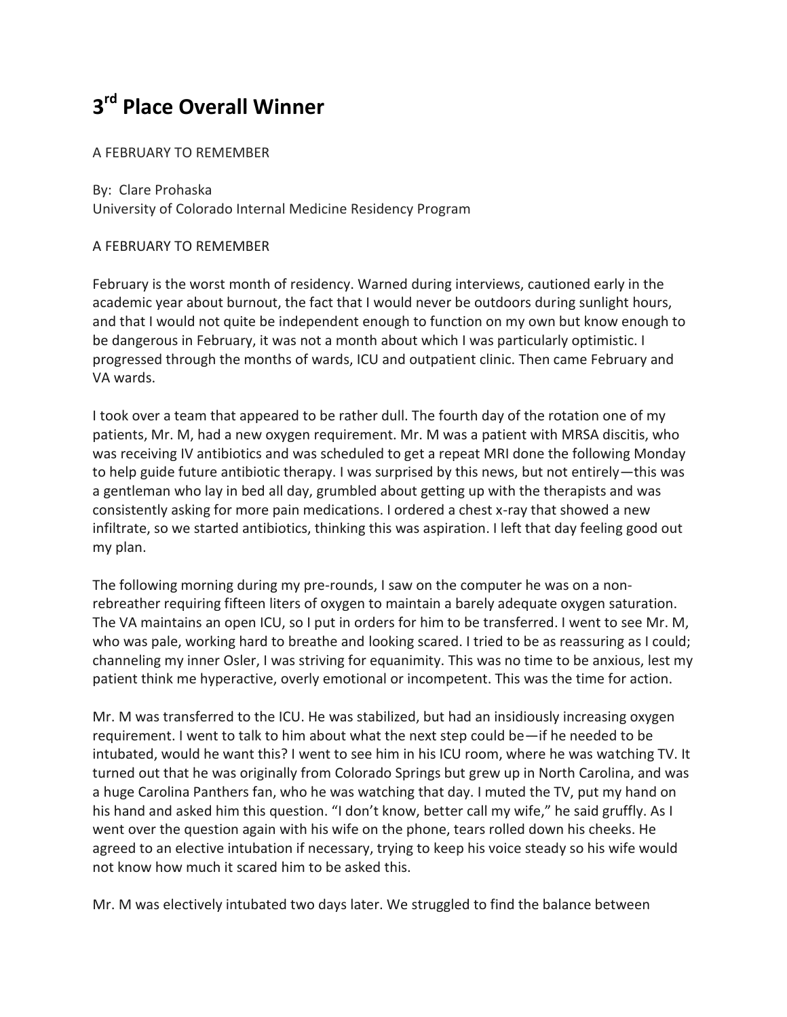# **3 rd Place Overall Winner**

## A FEBRUARY TO REMEMBER

By: Clare Prohaska University of Colorado Internal Medicine Residency Program

## A FEBRUARY TO REMEMBER

February is the worst month of residency. Warned during interviews, cautioned early in the academic year about burnout, the fact that I would never be outdoors during sunlight hours, and that I would not quite be independent enough to function on my own but know enough to be dangerous in February, it was not a month about which I was particularly optimistic. I progressed through the months of wards, ICU and outpatient clinic. Then came February and VA wards.

I took over a team that appeared to be rather dull. The fourth day of the rotation one of my patients, Mr. M, had a new oxygen requirement. Mr. M was a patient with MRSA discitis, who was receiving IV antibiotics and was scheduled to get a repeat MRI done the following Monday to help guide future antibiotic therapy. I was surprised by this news, but not entirely—this was a gentleman who lay in bed all day, grumbled about getting up with the therapists and was consistently asking for more pain medications. I ordered a chest x-ray that showed a new infiltrate, so we started antibiotics, thinking this was aspiration. I left that day feeling good out my plan.

The following morning during my pre-rounds, I saw on the computer he was on a nonrebreather requiring fifteen liters of oxygen to maintain a barely adequate oxygen saturation. The VA maintains an open ICU, so I put in orders for him to be transferred. I went to see Mr. M, who was pale, working hard to breathe and looking scared. I tried to be as reassuring as I could; channeling my inner Osler, I was striving for equanimity. This was no time to be anxious, lest my patient think me hyperactive, overly emotional or incompetent. This was the time for action.

Mr. M was transferred to the ICU. He was stabilized, but had an insidiously increasing oxygen requirement. I went to talk to him about what the next step could be—if he needed to be intubated, would he want this? I went to see him in his ICU room, where he was watching TV. It turned out that he was originally from Colorado Springs but grew up in North Carolina, and was a huge Carolina Panthers fan, who he was watching that day. I muted the TV, put my hand on his hand and asked him this question. "I don't know, better call my wife," he said gruffly. As I went over the question again with his wife on the phone, tears rolled down his cheeks. He agreed to an elective intubation if necessary, trying to keep his voice steady so his wife would not know how much it scared him to be asked this.

Mr. M was electively intubated two days later. We struggled to find the balance between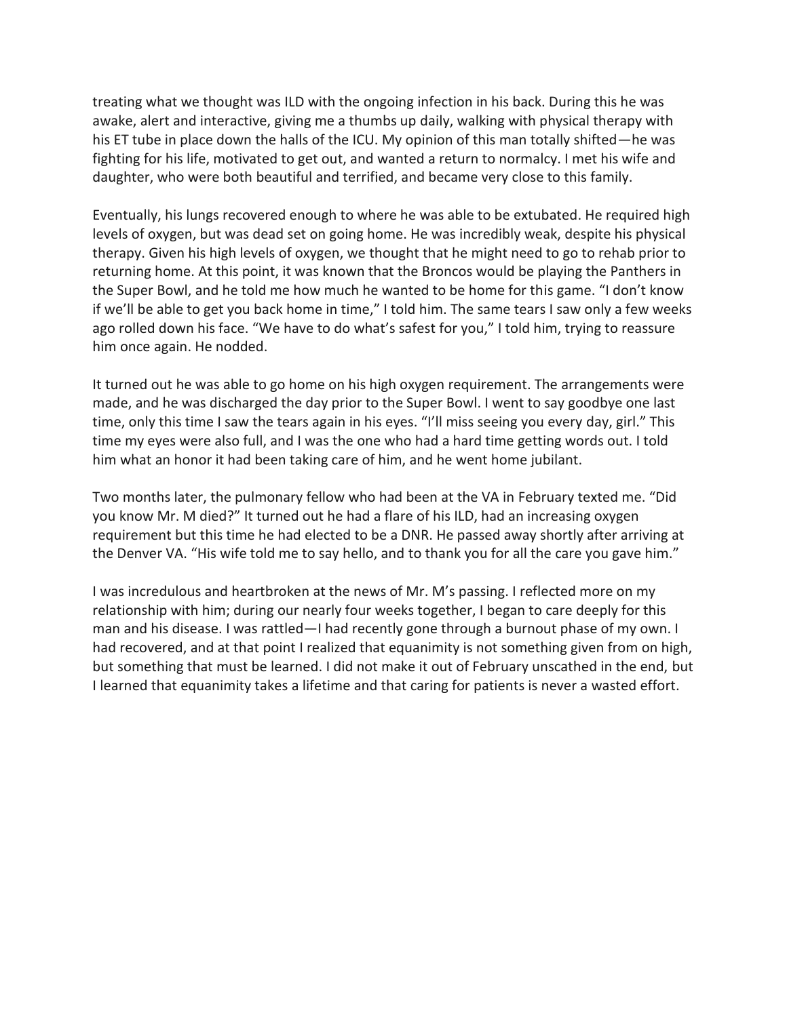treating what we thought was ILD with the ongoing infection in his back. During this he was awake, alert and interactive, giving me a thumbs up daily, walking with physical therapy with his ET tube in place down the halls of the ICU. My opinion of this man totally shifted—he was fighting for his life, motivated to get out, and wanted a return to normalcy. I met his wife and daughter, who were both beautiful and terrified, and became very close to this family.

Eventually, his lungs recovered enough to where he was able to be extubated. He required high levels of oxygen, but was dead set on going home. He was incredibly weak, despite his physical therapy. Given his high levels of oxygen, we thought that he might need to go to rehab prior to returning home. At this point, it was known that the Broncos would be playing the Panthers in the Super Bowl, and he told me how much he wanted to be home for this game. "I don't know if we'll be able to get you back home in time," I told him. The same tears I saw only a few weeks ago rolled down his face. "We have to do what's safest for you," I told him, trying to reassure him once again. He nodded.

It turned out he was able to go home on his high oxygen requirement. The arrangements were made, and he was discharged the day prior to the Super Bowl. I went to say goodbye one last time, only this time I saw the tears again in his eyes. "I'll miss seeing you every day, girl." This time my eyes were also full, and I was the one who had a hard time getting words out. I told him what an honor it had been taking care of him, and he went home jubilant.

Two months later, the pulmonary fellow who had been at the VA in February texted me. "Did you know Mr. M died?" It turned out he had a flare of his ILD, had an increasing oxygen requirement but this time he had elected to be a DNR. He passed away shortly after arriving at the Denver VA. "His wife told me to say hello, and to thank you for all the care you gave him."

I was incredulous and heartbroken at the news of Mr. M's passing. I reflected more on my relationship with him; during our nearly four weeks together, I began to care deeply for this man and his disease. I was rattled—I had recently gone through a burnout phase of my own. I had recovered, and at that point I realized that equanimity is not something given from on high, but something that must be learned. I did not make it out of February unscathed in the end, but I learned that equanimity takes a lifetime and that caring for patients is never a wasted effort.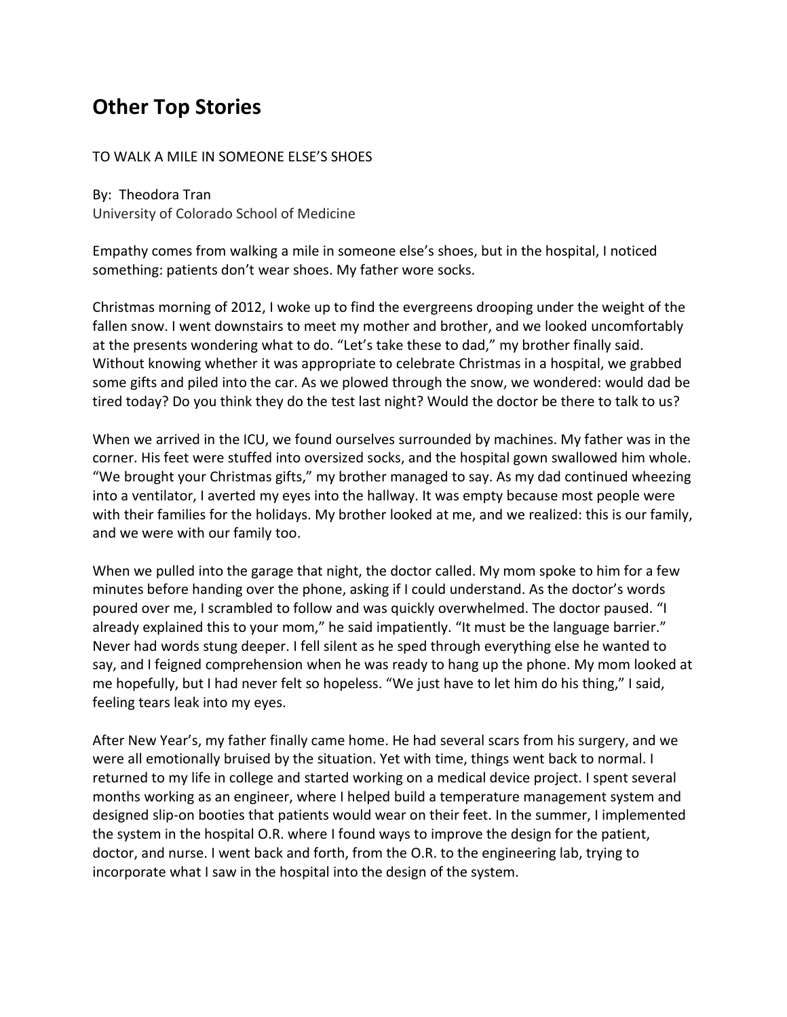# **Other Top Stories**

### TO WALK A MILE IN SOMEONE ELSE'S SHOES

By: Theodora Tran University of Colorado School of Medicine

Empathy comes from walking a mile in someone else's shoes, but in the hospital, I noticed something: patients don't wear shoes. My father wore socks.

Christmas morning of 2012, I woke up to find the evergreens drooping under the weight of the fallen snow. I went downstairs to meet my mother and brother, and we looked uncomfortably at the presents wondering what to do. "Let's take these to dad," my brother finally said. Without knowing whether it was appropriate to celebrate Christmas in a hospital, we grabbed some gifts and piled into the car. As we plowed through the snow, we wondered: would dad be tired today? Do you think they do the test last night? Would the doctor be there to talk to us?

When we arrived in the ICU, we found ourselves surrounded by machines. My father was in the corner. His feet were stuffed into oversized socks, and the hospital gown swallowed him whole. "We brought your Christmas gifts," my brother managed to say. As my dad continued wheezing into a ventilator, I averted my eyes into the hallway. It was empty because most people were with their families for the holidays. My brother looked at me, and we realized: this is our family, and we were with our family too.

When we pulled into the garage that night, the doctor called. My mom spoke to him for a few minutes before handing over the phone, asking if I could understand. As the doctor's words poured over me, I scrambled to follow and was quickly overwhelmed. The doctor paused. "I already explained this to your mom," he said impatiently. "It must be the language barrier." Never had words stung deeper. I fell silent as he sped through everything else he wanted to say, and I feigned comprehension when he was ready to hang up the phone. My mom looked at me hopefully, but I had never felt so hopeless. "We just have to let him do his thing," I said, feeling tears leak into my eyes.

After New Year's, my father finally came home. He had several scars from his surgery, and we were all emotionally bruised by the situation. Yet with time, things went back to normal. I returned to my life in college and started working on a medical device project. I spent several months working as an engineer, where I helped build a temperature management system and designed slip-on booties that patients would wear on their feet. In the summer, I implemented the system in the hospital O.R. where I found ways to improve the design for the patient, doctor, and nurse. I went back and forth, from the O.R. to the engineering lab, trying to incorporate what I saw in the hospital into the design of the system.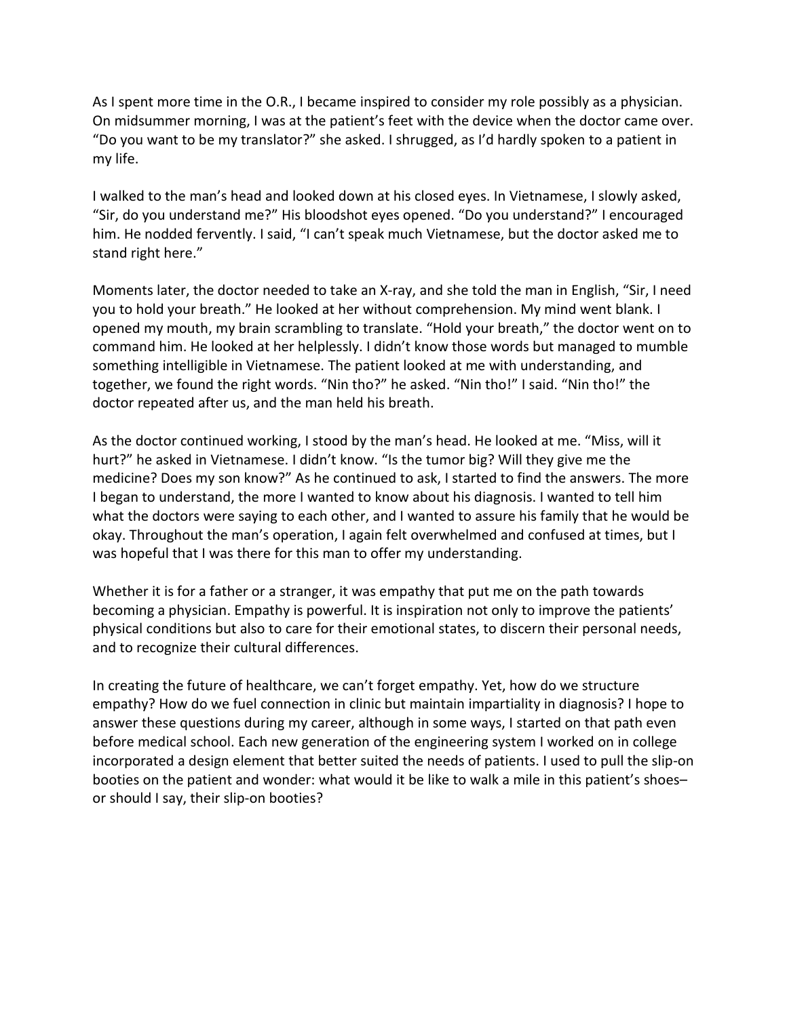As I spent more time in the O.R., I became inspired to consider my role possibly as a physician. On midsummer morning, I was at the patient's feet with the device when the doctor came over. "Do you want to be my translator?" she asked. I shrugged, as I'd hardly spoken to a patient in my life.

I walked to the man's head and looked down at his closed eyes. In Vietnamese, I slowly asked, "Sir, do you understand me?" His bloodshot eyes opened. "Do you understand?" I encouraged him. He nodded fervently. I said, "I can't speak much Vietnamese, but the doctor asked me to stand right here."

Moments later, the doctor needed to take an X-ray, and she told the man in English, "Sir, I need you to hold your breath." He looked at her without comprehension. My mind went blank. I opened my mouth, my brain scrambling to translate. "Hold your breath," the doctor went on to command him. He looked at her helplessly. I didn't know those words but managed to mumble something intelligible in Vietnamese. The patient looked at me with understanding, and together, we found the right words. "Nin tho?" he asked. "Nin tho!" I said. "Nin tho!" the doctor repeated after us, and the man held his breath.

As the doctor continued working, I stood by the man's head. He looked at me. "Miss, will it hurt?" he asked in Vietnamese. I didn't know. "Is the tumor big? Will they give me the medicine? Does my son know?" As he continued to ask, I started to find the answers. The more I began to understand, the more I wanted to know about his diagnosis. I wanted to tell him what the doctors were saying to each other, and I wanted to assure his family that he would be okay. Throughout the man's operation, I again felt overwhelmed and confused at times, but I was hopeful that I was there for this man to offer my understanding.

Whether it is for a father or a stranger, it was empathy that put me on the path towards becoming a physician. Empathy is powerful. It is inspiration not only to improve the patients' physical conditions but also to care for their emotional states, to discern their personal needs, and to recognize their cultural differences.

In creating the future of healthcare, we can't forget empathy. Yet, how do we structure empathy? How do we fuel connection in clinic but maintain impartiality in diagnosis? I hope to answer these questions during my career, although in some ways, I started on that path even before medical school. Each new generation of the engineering system I worked on in college incorporated a design element that better suited the needs of patients. I used to pull the slip-on booties on the patient and wonder: what would it be like to walk a mile in this patient's shoes– or should I say, their slip-on booties?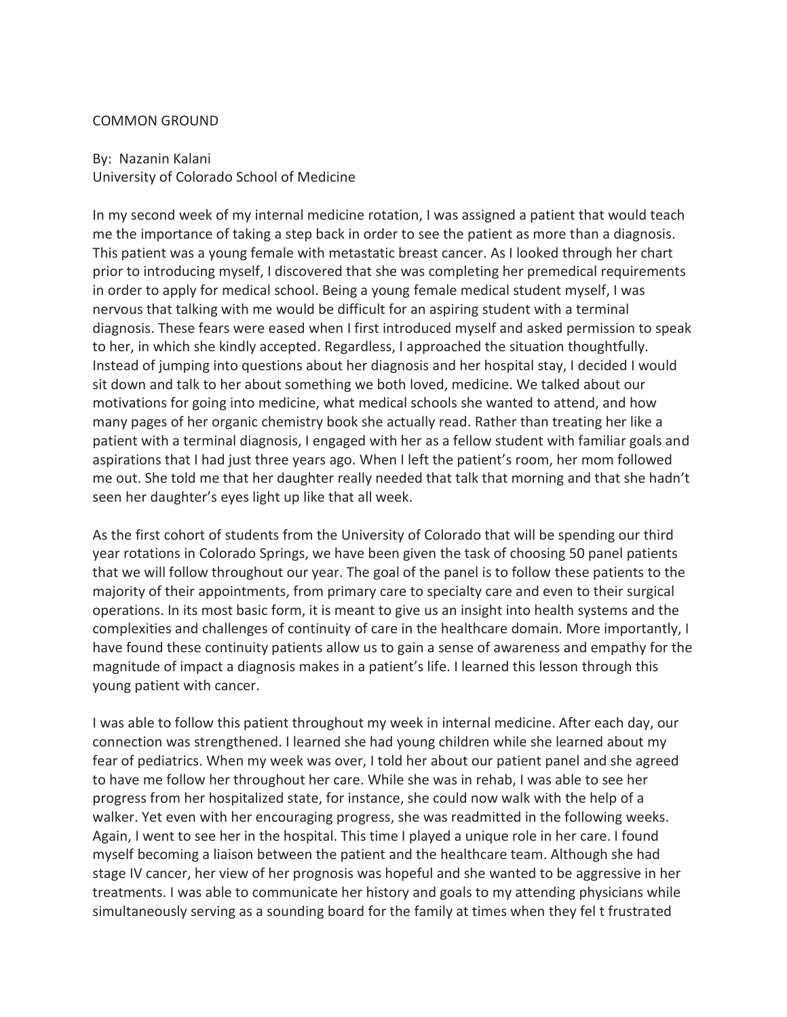#### COMMON GROUND

## By: Nazanin Kalani University of Colorado School of Medicine

In my second week of my internal medicine rotation, I was assigned a patient that would teach me the importance of taking a step back in order to see the patient as more than a diagnosis. This patient was a young female with metastatic breast cancer. As I looked through her chart prior to introducing myself, I discovered that she was completing her premedical requirements in order to apply for medical school. Being a young female medical student myself, I was nervous that talking with me would be difficult for an aspiring student with a terminal diagnosis. These fears were eased when I first introduced myself and asked permission to speak to her, in which she kindly accepted. Regardless, I approached the situation thoughtfully. Instead of jumping into questions about her diagnosis and her hospital stay, I decided I would sit down and talk to her about something we both loved, medicine. We talked about our motivations for going into medicine, what medical schools she wanted to attend, and how many pages of her organic chemistry book she actually read. Rather than treating her like a patient with a terminal diagnosis, I engaged with her as a fellow student with familiar goals and aspirations that I had just three years ago. When I left the patient's room, her mom followed me out. She told me that her daughter really needed that talk that morning and that she hadn't seen her daughter's eyes light up like that all week.

As the first cohort of students from the University of Colorado that will be spending our third year rotations in Colorado Springs, we have been given the task of choosing 50 panel patients that we will follow throughout our year. The goal of the panel is to follow these patients to the majority of their appointments, from primary care to specialty care and even to their surgical operations. In its most basic form, it is meant to give us an insight into health systems and the complexities and challenges of continuity of care in the healthcare domain. More importantly, I have found these continuity patients allow us to gain a sense of awareness and empathy for the magnitude of impact a diagnosis makes in a patient's life. I learned this lesson through this young patient with cancer.

I was able to follow this patient throughout my week in internal medicine. After each day, our connection was strengthened. I learned she had young children while she learned about my fear of pediatrics. When my week was over, I told her about our patient panel and she agreed to have me follow her throughout her care. While she was in rehab, I was able to see her progress from her hospitalized state, for instance, she could now walk with the help of a walker. Yet even with her encouraging progress, she was readmitted in the following weeks. Again, I went to see her in the hospital. This time I played a unique role in her care. I found myself becoming a liaison between the patient and the healthcare team. Although she had stage IV cancer, her view of her prognosis was hopeful and she wanted to be aggressive in her treatments. I was able to communicate her history and goals to my attending physicians while simultaneously serving as a sounding board for the family at times when they fel t frustrated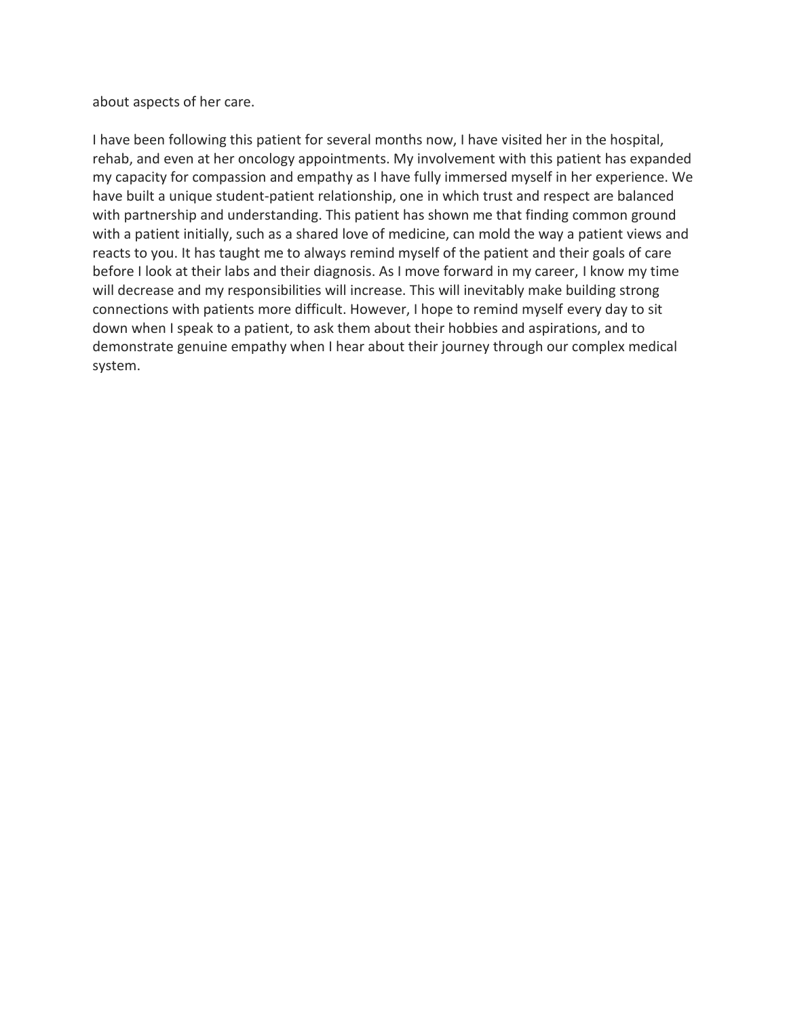about aspects of her care.

I have been following this patient for several months now, I have visited her in the hospital, rehab, and even at her oncology appointments. My involvement with this patient has expanded my capacity for compassion and empathy as I have fully immersed myself in her experience. We have built a unique student-patient relationship, one in which trust and respect are balanced with partnership and understanding. This patient has shown me that finding common ground with a patient initially, such as a shared love of medicine, can mold the way a patient views and reacts to you. It has taught me to always remind myself of the patient and their goals of care before I look at their labs and their diagnosis. As I move forward in my career, I know my time will decrease and my responsibilities will increase. This will inevitably make building strong connections with patients more difficult. However, I hope to remind myself every day to sit down when I speak to a patient, to ask them about their hobbies and aspirations, and to demonstrate genuine empathy when I hear about their journey through our complex medical system.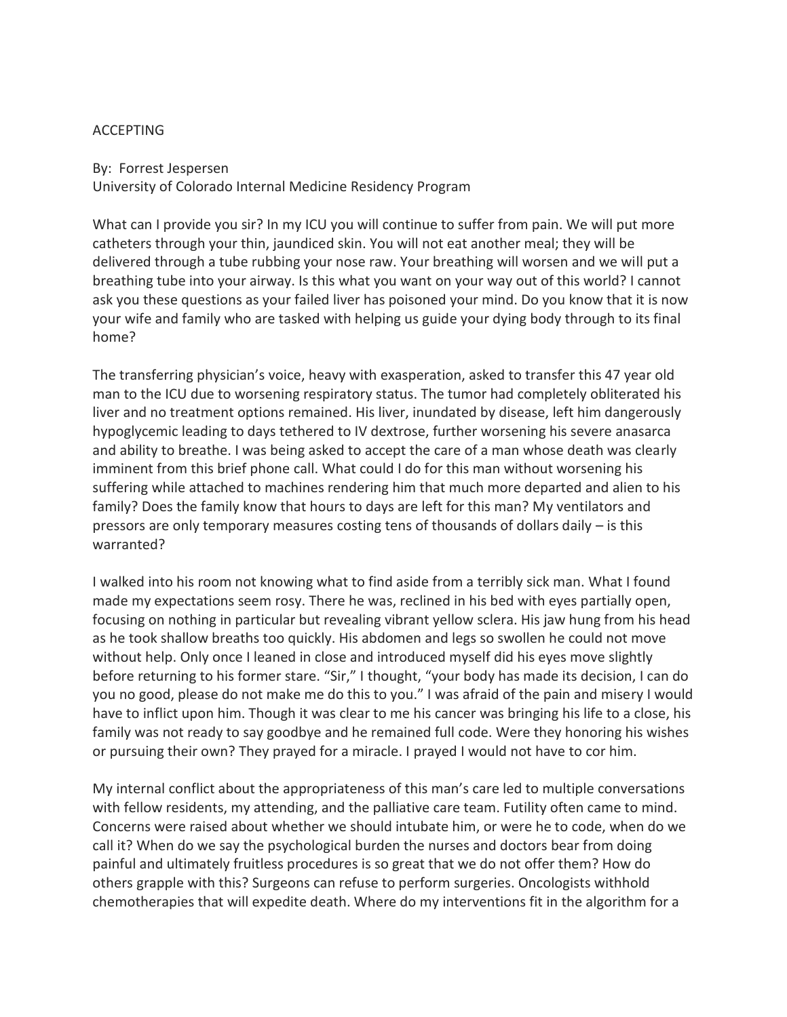### ACCEPTING

By: Forrest Jespersen University of Colorado Internal Medicine Residency Program

What can I provide you sir? In my ICU you will continue to suffer from pain. We will put more catheters through your thin, jaundiced skin. You will not eat another meal; they will be delivered through a tube rubbing your nose raw. Your breathing will worsen and we will put a breathing tube into your airway. Is this what you want on your way out of this world? I cannot ask you these questions as your failed liver has poisoned your mind. Do you know that it is now your wife and family who are tasked with helping us guide your dying body through to its final home?

The transferring physician's voice, heavy with exasperation, asked to transfer this 47 year old man to the ICU due to worsening respiratory status. The tumor had completely obliterated his liver and no treatment options remained. His liver, inundated by disease, left him dangerously hypoglycemic leading to days tethered to IV dextrose, further worsening his severe anasarca and ability to breathe. I was being asked to accept the care of a man whose death was clearly imminent from this brief phone call. What could I do for this man without worsening his suffering while attached to machines rendering him that much more departed and alien to his family? Does the family know that hours to days are left for this man? My ventilators and pressors are only temporary measures costing tens of thousands of dollars daily – is this warranted?

I walked into his room not knowing what to find aside from a terribly sick man. What I found made my expectations seem rosy. There he was, reclined in his bed with eyes partially open, focusing on nothing in particular but revealing vibrant yellow sclera. His jaw hung from his head as he took shallow breaths too quickly. His abdomen and legs so swollen he could not move without help. Only once I leaned in close and introduced myself did his eyes move slightly before returning to his former stare. "Sir," I thought, "your body has made its decision, I can do you no good, please do not make me do this to you." I was afraid of the pain and misery I would have to inflict upon him. Though it was clear to me his cancer was bringing his life to a close, his family was not ready to say goodbye and he remained full code. Were they honoring his wishes or pursuing their own? They prayed for a miracle. I prayed I would not have to cor him.

My internal conflict about the appropriateness of this man's care led to multiple conversations with fellow residents, my attending, and the palliative care team. Futility often came to mind. Concerns were raised about whether we should intubate him, or were he to code, when do we call it? When do we say the psychological burden the nurses and doctors bear from doing painful and ultimately fruitless procedures is so great that we do not offer them? How do others grapple with this? Surgeons can refuse to perform surgeries. Oncologists withhold chemotherapies that will expedite death. Where do my interventions fit in the algorithm for a